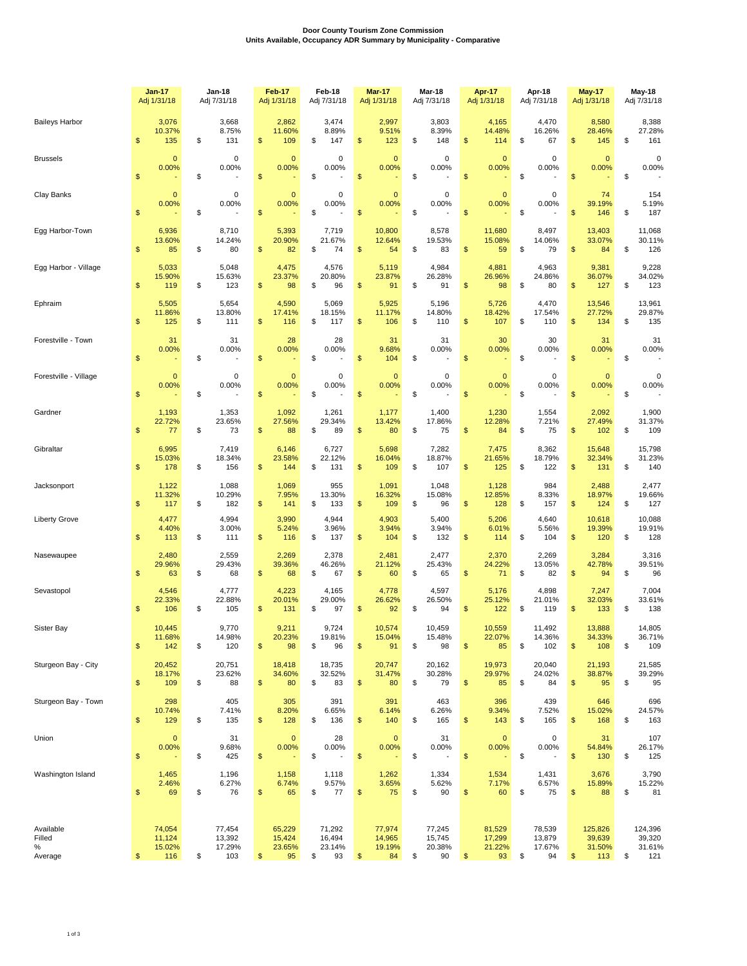## **Door County Tourism Zone Commission Units Available, Occupancy ADR Summary by Municipality - Comparative**

|                                     | <b>Jan-17</b><br>Adj 1/31/18            | Jan-18<br>Adj 7/31/18                                |               | Feb-17<br>Adj 1/31/18            | Feb-18<br>Adj 7/31/18                  |               | Mar-17<br>Adj 1/31/18            | <b>Mar-18</b><br>Adj 7/31/18           | Apr-17<br>Adj 1/31/18                  | Apr-18<br>Adj 7/31/18                  | <b>May-17</b><br>Adj 1/31/18             | May-18<br>Adj 7/31/18                    |
|-------------------------------------|-----------------------------------------|------------------------------------------------------|---------------|----------------------------------|----------------------------------------|---------------|----------------------------------|----------------------------------------|----------------------------------------|----------------------------------------|------------------------------------------|------------------------------------------|
| <b>Baileys Harbor</b>               | \$<br>3,076<br>10.37%<br>135            | \$<br>3,668<br>8.75%<br>131                          | \$            | 2,862<br>11.60%<br>109           | \$<br>3,474<br>8.89%<br>147            | \$            | 2,997<br>9.51%<br>123            | \$<br>3,803<br>8.39%<br>148            | \$<br>4,165<br>14.48%<br>114           | \$<br>4,470<br>16.26%<br>67            | \$<br>8,580<br>28.46%<br>145             | \$<br>8,388<br>27.28%<br>161             |
| <b>Brussels</b>                     | \$<br>$\mathbf{0}$<br>0.00%             | \$<br>0<br>0.00%                                     | \$            | $\mathbf 0$<br>0.00%             | \$<br>0<br>0.00%                       | \$            | $\mathbf 0$<br>0.00%             | \$<br>0<br>0.00%                       | \$<br>$\overline{0}$<br>0.00%          | \$<br>$\mathbf 0$<br>0.00%             | \$<br>$\mathbf 0$<br>0.00%               | \$<br>$\mathbf 0$<br>0.00%               |
| Clay Banks                          | \$<br>$\mathbf 0$<br>0.00%              | \$<br>$\pmb{0}$<br>0.00%                             | \$            | $\mathbf 0$<br>0.00%             | \$<br>0<br>0.00%                       | $\frac{1}{2}$ | $\mathbf 0$<br>0.00%             | \$<br>0<br>0.00%                       | \$<br>$\overline{0}$<br>0.00%          | \$<br>0<br>0.00%                       | \$<br>74<br>39.19%<br>146                | \$<br>154<br>5.19%<br>187                |
| Egg Harbor-Town                     | \$<br>6,936<br>13.60%<br>85             | \$<br>8,710<br>14.24%<br>80                          | \$            | 5,393<br>20.90%<br>82            | \$<br>7,719<br>21.67%<br>74            | $\frac{1}{2}$ | 10,800<br>12.64%<br>54           | \$<br>8,578<br>19.53%<br>83            | \$<br>11,680<br>15.08%<br>59           | \$<br>8,497<br>14.06%<br>79            | \$<br>13,403<br>33.07%<br>84             | \$<br>11,068<br>30.11%<br>126            |
| Egg Harbor - Village                | \$<br>5,033<br>15.90%<br>119            | \$<br>5,048<br>15.63%<br>123                         | \$            | 4,475<br>23.37%<br>98            | \$<br>4,576<br>20.80%<br>96            | \$            | 5,119<br>23.87%<br>91            | \$<br>4,984<br>26.28%<br>91            | \$<br>4,881<br>26.96%<br>98            | \$<br>4,963<br>24.86%<br>80            | \$<br>9,381<br>36.07%<br>127             | \$<br>9,228<br>34.02%<br>123             |
| Ephraim                             | \$<br>5,505<br>11.86%<br>125            | \$<br>5,654<br>13.80%<br>111                         | \$            | 4,590<br>17.41%<br>116           | \$<br>5,069<br>18.15%<br>117           | \$            | 5,925<br>11.17%<br>106           | \$<br>5,196<br>14.80%<br>110           | \$<br>5,726<br>18.42%<br>107           | \$<br>4,470<br>17.54%<br>110           | \$<br>13,546<br>27.72%<br>134            | \$<br>13,961<br>29.87%<br>135            |
| Forestville - Town                  | \$<br>31<br>0.00%                       | \$<br>31<br>0.00%                                    | $\mathsf{\$}$ | 28<br>0.00%                      | \$<br>28<br>0.00%                      | \$            | 31<br>9.68%<br>104               | \$<br>31<br>0.00%                      | \$<br>30<br>0.00%                      | \$<br>30<br>0.00%                      | \$<br>31<br>0.00%                        | \$<br>31<br>0.00%                        |
| Forestville - Village               | \$<br>$\mathbf 0$<br>0.00%              | \$<br>$\pmb{0}$<br>0.00%<br>$\overline{\phantom{a}}$ | \$            | $\mathbf 0$<br>0.00%             | \$<br>0<br>0.00%                       | $\frac{1}{2}$ | $\mathbf 0$<br>0.00%             | \$<br>0<br>0.00%                       | \$<br>$\mathbf{0}$<br>0.00%            | \$<br>0<br>0.00%                       | \$<br>$\mathbf 0$<br>0.00%               | \$<br>$\mathbf 0$<br>0.00%               |
| Gardner                             | \$<br>1,193<br>22.72%<br>77             | \$<br>1,353<br>23.65%<br>73                          | \$            | 1,092<br>27.56%<br>88            | \$<br>1,261<br>29.34%<br>89            | \$            | 1,177<br>13.42%<br>80            | \$<br>1,400<br>17.86%<br>75            | \$<br>1,230<br>12.28%<br>84            | \$<br>1,554<br>7.21%<br>75             | \$<br>2,092<br>27.49%<br>102             | \$<br>1,900<br>31.37%<br>109             |
| Gibraltar                           | \$<br>6,995<br>15.03%<br>178            | \$<br>7,419<br>18.34%<br>156                         | \$            | 6,146<br>23.58%<br>144           | \$<br>6,727<br>22.12%<br>131           | \$            | 5,698<br>16.04%<br>109           | \$<br>7,282<br>18.87%<br>107           | \$<br>7,475<br>21.65%<br>125           | \$<br>8,362<br>18.79%<br>122           | \$<br>15,648<br>32.34%<br>131            | \$<br>15,798<br>31.23%<br>140            |
| Jacksonport                         | \$<br>1,122<br>11.32%<br>117            | \$<br>1,088<br>10.29%<br>182                         | \$            | 1,069<br>7.95%<br>141            | \$<br>955<br>13.30%<br>133             | \$            | 1,091<br>16.32%<br>109           | \$<br>1,048<br>15.08%<br>96            | \$<br>1,128<br>12.85%<br>128           | \$<br>984<br>8.33%<br>157              | \$<br>2,488<br>18.97%<br>124             | \$<br>2,477<br>19.66%<br>127             |
| <b>Liberty Grove</b>                | \$<br>4,477<br>4.40%<br>113             | \$<br>4,994<br>3.00%<br>111                          | \$            | 3,990<br>5.24%<br>116            | \$<br>4,944<br>3.96%<br>137            | \$            | 4,903<br>3.94%<br>104            | \$<br>5,400<br>3.94%<br>132            | \$<br>5,206<br>6.01%<br>114            | \$<br>4,640<br>5.56%<br>104            | \$<br>10,618<br>19.39%<br>120            | \$<br>10,088<br>19.91%<br>128            |
| Nasewaupee                          | \$<br>2,480<br>29.96%<br>63             | \$<br>2,559<br>29.43%<br>68                          | \$            | 2,269<br>39.36%<br>68            | \$<br>2,378<br>46.26%<br>67            | \$            | 2,481<br>21.12%<br>60            | \$<br>2,477<br>25.43%<br>65            | \$<br>2,370<br>24.22%<br>71            | \$<br>2,269<br>13.05%<br>82            | \$<br>3,284<br>42.78%<br>94              | \$<br>3,316<br>39.51%<br>96              |
| Sevastopol                          | \$<br>4,546<br>22.33%<br>106            | \$<br>4,777<br>22.88%<br>105                         | \$            | 4,223<br>20.01%<br>131           | \$<br>4,165<br>29.00%<br>97            | \$            | 4,778<br>26.62%<br>92            | \$<br>4,597<br>26.50%<br>94            | \$<br>5,176<br>25.12%<br>122           | \$<br>4,898<br>21.01%<br>119           | \$<br>7,247<br>32.03%<br>133             | \$<br>7,004<br>33.61%<br>138             |
| Sister Bay                          | \$<br>10,445<br>11.68%<br>142           | \$<br>9,770<br>14.98%<br>120                         | \$            | 9,211<br>20.23%<br>98            | \$<br>9,724<br>19.81%<br>96            | \$            | 10,574<br>15.04%<br>91           | \$<br>10,459<br>15.48%<br>98           | \$<br>10,559<br>22.07%<br>85           | \$<br>11,492<br>14.36%<br>102          | \$<br>13,888<br>34.33%<br>108            | \$<br>14,805<br>36.71%<br>109            |
| Sturgeon Bay - City                 | \$<br>20,452<br>18.17%<br>109           | \$<br>20,751<br>23.62%<br>88                         | \$            | 18,418<br>34.60%<br>80           | \$<br>18,735<br>32.52%<br>83           | $\frac{1}{2}$ | 20,747<br>31.47%<br>80           | \$<br>20,162<br>30.28%<br>79           | \$<br>19,973<br>29.97%<br>85           | \$<br>20,040<br>24.02%<br>84           | \$<br>21,193<br>38.87%<br>95             | \$<br>21,585<br>39.29%<br>95             |
| Sturgeon Bay - Town                 | \$<br>298<br>10.74%<br>129              | \$<br>405<br>7.41%<br>135                            | $\mathsf{\$}$ | 305<br>8.20%<br>128              | \$<br>391<br>6.65%<br>136              | \$            | 391<br>6.14%<br>140              | \$<br>463<br>6.26%<br>165              | \$<br>396<br>9.34%<br>143              | \$<br>439<br>7.52%<br>165              | \$<br>646<br>15.02%<br>168               | \$<br>696<br>24.57%<br>163               |
| Union                               | \$<br>$\mathbf{0}$<br>0.00%             | \$<br>31<br>9.68%<br>425                             | \$            | $\mathbf{0}$<br>0.00%            | \$<br>28<br>0.00%                      | $\frac{1}{2}$ | $\pmb{0}$<br>0.00%               | \$<br>31<br>0.00%                      | \$<br>$\mathbf 0$<br>0.00%             | \$<br>0<br>0.00%                       | \$<br>31<br>54.84%<br>130                | \$<br>107<br>26.17%<br>125               |
| Washington Island                   | \$<br>1,465<br>2.46%<br>69              | \$<br>1,196<br>6.27%<br>76                           | \$            | 1,158<br>6.74%<br>65             | \$<br>1,118<br>9.57%<br>77             | \$            | 1,262<br>3.65%<br>75             | \$<br>1,334<br>5.62%<br>90             | \$<br>1,534<br>7.17%<br>60             | \$<br>1,431<br>6.57%<br>75             | \$<br>3,676<br>15.89%<br>88              | \$<br>3,790<br>15.22%<br>81              |
| Available<br>Filled<br>%<br>Average | \$<br>74,054<br>11,124<br>15.02%<br>116 | \$<br>77,454<br>13,392<br>17.29%<br>103              | \$            | 65,229<br>15,424<br>23.65%<br>95 | \$<br>71,292<br>16,494<br>23.14%<br>93 | \$            | 77,974<br>14,965<br>19.19%<br>84 | \$<br>77,245<br>15,745<br>20.38%<br>90 | \$<br>81,529<br>17,299<br>21.22%<br>93 | \$<br>78,539<br>13,879<br>17.67%<br>94 | \$<br>125,826<br>39,639<br>31.50%<br>113 | \$<br>124,396<br>39,320<br>31.61%<br>121 |